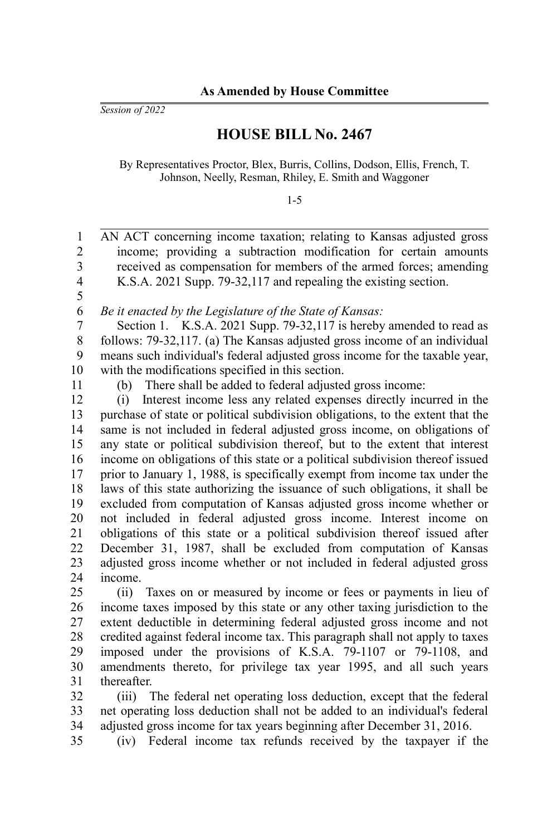*Session of 2022*

## **HOUSE BILL No. 2467**

By Representatives Proctor, Blex, Burris, Collins, Dodson, Ellis, French, T. Johnson, Neelly, Resman, Rhiley, E. Smith and Waggoner

1-5

| 1              | AN ACT concerning income taxation; relating to Kansas adjusted gross                                                                                 |
|----------------|------------------------------------------------------------------------------------------------------------------------------------------------------|
| $\overline{2}$ | income; providing a subtraction modification for certain amounts                                                                                     |
| 3              | received as compensation for members of the armed forces; amending                                                                                   |
| 4              | K.S.A. 2021 Supp. 79-32,117 and repealing the existing section.                                                                                      |
| 5              |                                                                                                                                                      |
| 6              | Be it enacted by the Legislature of the State of Kansas:                                                                                             |
| 7              | Section 1. K.S.A. 2021 Supp. 79-32,117 is hereby amended to read as                                                                                  |
| 8              | follows: 79-32,117. (a) The Kansas adjusted gross income of an individual                                                                            |
| 9              | means such individual's federal adjusted gross income for the taxable year,                                                                          |
| 10             | with the modifications specified in this section.                                                                                                    |
| 11             | There shall be added to federal adjusted gross income:<br>(b)                                                                                        |
| 12             | Interest income less any related expenses directly incurred in the<br>(i)                                                                            |
| 13             | purchase of state or political subdivision obligations, to the extent that the                                                                       |
| 14             | same is not included in federal adjusted gross income, on obligations of                                                                             |
| 15             | any state or political subdivision thereof, but to the extent that interest                                                                          |
| 16             | income on obligations of this state or a political subdivision thereof issued                                                                        |
| 17             | prior to January 1, 1988, is specifically exempt from income tax under the                                                                           |
| 18             | laws of this state authorizing the issuance of such obligations, it shall be                                                                         |
| 19             | excluded from computation of Kansas adjusted gross income whether or                                                                                 |
| 20             | not included in federal adjusted gross income. Interest income on                                                                                    |
| 21             | obligations of this state or a political subdivision thereof issued after                                                                            |
| 22             | December 31, 1987, shall be excluded from computation of Kansas                                                                                      |
| 23             | adjusted gross income whether or not included in federal adjusted gross                                                                              |
| 24             | income.                                                                                                                                              |
| 25             | Taxes on or measured by income or fees or payments in lieu of<br>(ii)                                                                                |
| 26             | income taxes imposed by this state or any other taxing jurisdiction to the                                                                           |
| 27             | extent deductible in determining federal adjusted gross income and not                                                                               |
| 28             | credited against federal income tax. This paragraph shall not apply to taxes                                                                         |
| 29             | imposed under the provisions of K.S.A. 79-1107 or 79-1108, and                                                                                       |
| 30             | amendments thereto, for privilege tax year 1995, and all such years                                                                                  |
| 31             | thereafter.                                                                                                                                          |
| $\sim$         | $\mathbf{r}$ and $\mathbf{r}$ and $\mathbf{r}$ and $\mathbf{r}$ and $\mathbf{r}$ and $\mathbf{r}$ and $\mathbf{r}$ and $\mathbf{r}$ and $\mathbf{r}$ |

(iii) The federal net operating loss deduction, except that the federal net operating loss deduction shall not be added to an individual's federal adjusted gross income for tax years beginning after December 31, 2016. 32 33 34

(iv) Federal income tax refunds received by the taxpayer if the 35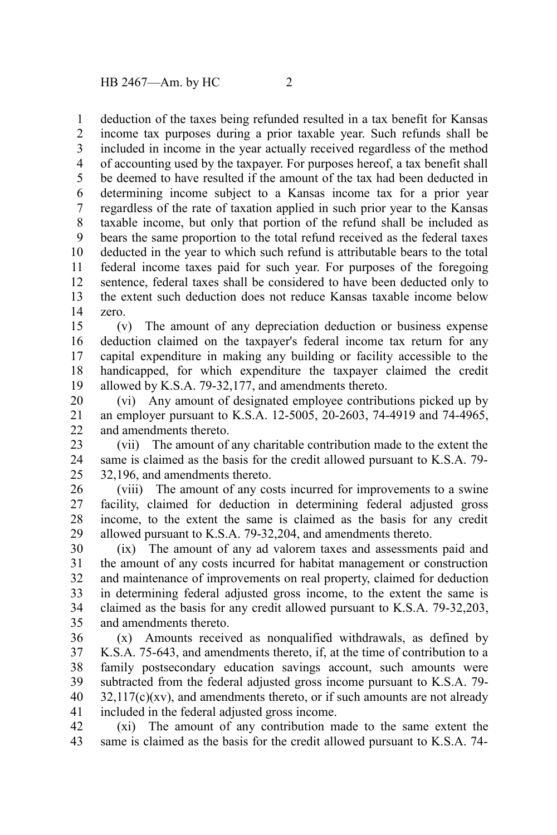deduction of the taxes being refunded resulted in a tax benefit for Kansas income tax purposes during a prior taxable year. Such refunds shall be included in income in the year actually received regardless of the method of accounting used by the taxpayer. For purposes hereof, a tax benefit shall be deemed to have resulted if the amount of the tax had been deducted in determining income subject to a Kansas income tax for a prior year regardless of the rate of taxation applied in such prior year to the Kansas taxable income, but only that portion of the refund shall be included as bears the same proportion to the total refund received as the federal taxes deducted in the year to which such refund is attributable bears to the total federal income taxes paid for such year. For purposes of the foregoing sentence, federal taxes shall be considered to have been deducted only to the extent such deduction does not reduce Kansas taxable income below zero. 1 2 3 4 5 6 7 8 9 10 11 12 13 14

(v) The amount of any depreciation deduction or business expense deduction claimed on the taxpayer's federal income tax return for any capital expenditure in making any building or facility accessible to the handicapped, for which expenditure the taxpayer claimed the credit allowed by K.S.A. 79-32,177, and amendments thereto. 15 16 17 18 19

(vi) Any amount of designated employee contributions picked up by an employer pursuant to K.S.A. 12-5005, 20-2603, 74-4919 and 74-4965, and amendments thereto. 20 21 22

(vii) The amount of any charitable contribution made to the extent the same is claimed as the basis for the credit allowed pursuant to K.S.A. 79- 32,196, and amendments thereto. 23 24 25

(viii) The amount of any costs incurred for improvements to a swine facility, claimed for deduction in determining federal adjusted gross income, to the extent the same is claimed as the basis for any credit allowed pursuant to K.S.A. 79-32,204, and amendments thereto. 26 27 28 29

(ix) The amount of any ad valorem taxes and assessments paid and the amount of any costs incurred for habitat management or construction and maintenance of improvements on real property, claimed for deduction in determining federal adjusted gross income, to the extent the same is claimed as the basis for any credit allowed pursuant to K.S.A. 79-32,203, and amendments thereto. 30 31 32 33 34 35

(x) Amounts received as nonqualified withdrawals, as defined by K.S.A. 75-643, and amendments thereto, if, at the time of contribution to a family postsecondary education savings account, such amounts were subtracted from the federal adjusted gross income pursuant to K.S.A. 79-  $32,117(c)(xy)$ , and amendments thereto, or if such amounts are not already included in the federal adjusted gross income. 36 37 38 39 40 41

(xi) The amount of any contribution made to the same extent the same is claimed as the basis for the credit allowed pursuant to K.S.A. 74- 42 43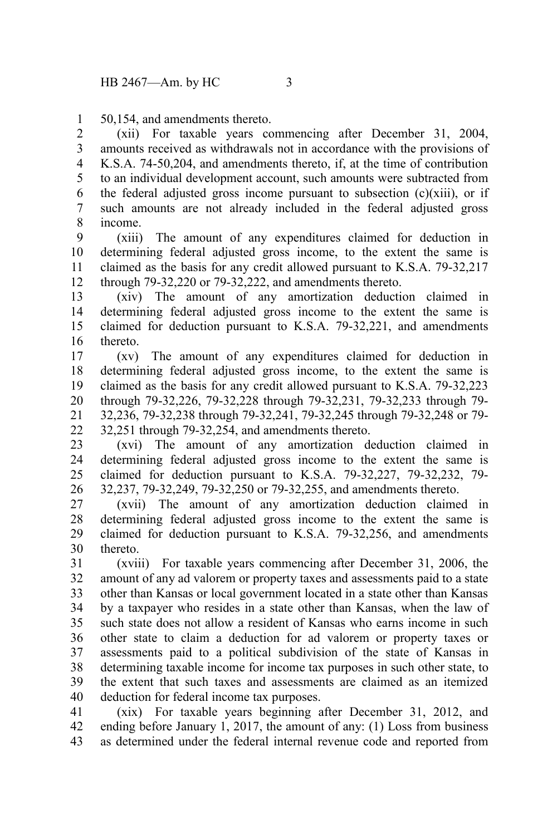50,154, and amendments thereto. 1

(xii) For taxable years commencing after December 31, 2004, amounts received as withdrawals not in accordance with the provisions of K.S.A. 74-50,204, and amendments thereto, if, at the time of contribution to an individual development account, such amounts were subtracted from the federal adjusted gross income pursuant to subsection  $(c)(xiii)$ , or if such amounts are not already included in the federal adjusted gross income. 2 3 4 5 6 7 8

(xiii) The amount of any expenditures claimed for deduction in determining federal adjusted gross income, to the extent the same is claimed as the basis for any credit allowed pursuant to K.S.A. 79-32,217 through 79-32,220 or 79-32,222, and amendments thereto. 9 10 11 12

(xiv) The amount of any amortization deduction claimed in determining federal adjusted gross income to the extent the same is claimed for deduction pursuant to K.S.A. 79-32,221, and amendments thereto. 13 14 15 16

(xv) The amount of any expenditures claimed for deduction in determining federal adjusted gross income, to the extent the same is claimed as the basis for any credit allowed pursuant to K.S.A. 79-32,223 through 79-32,226, 79-32,228 through 79-32,231, 79-32,233 through 79- 32,236, 79-32,238 through 79-32,241, 79-32,245 through 79-32,248 or 79- 32,251 through 79-32,254, and amendments thereto. 17 18 19 20 21 22

(xvi) The amount of any amortization deduction claimed in determining federal adjusted gross income to the extent the same is claimed for deduction pursuant to K.S.A. 79-32,227, 79-32,232, 79- 32,237, 79-32,249, 79-32,250 or 79-32,255, and amendments thereto. 23 24 25 26

(xvii) The amount of any amortization deduction claimed in determining federal adjusted gross income to the extent the same is claimed for deduction pursuant to K.S.A. 79-32,256, and amendments thereto. 27 28 29 30

(xviii) For taxable years commencing after December 31, 2006, the amount of any ad valorem or property taxes and assessments paid to a state other than Kansas or local government located in a state other than Kansas by a taxpayer who resides in a state other than Kansas, when the law of such state does not allow a resident of Kansas who earns income in such other state to claim a deduction for ad valorem or property taxes or assessments paid to a political subdivision of the state of Kansas in determining taxable income for income tax purposes in such other state, to the extent that such taxes and assessments are claimed as an itemized deduction for federal income tax purposes. 31 32 33 34 35 36 37 38 39 40

(xix) For taxable years beginning after December 31, 2012, and ending before January 1, 2017, the amount of any: (1) Loss from business as determined under the federal internal revenue code and reported from 41 42 43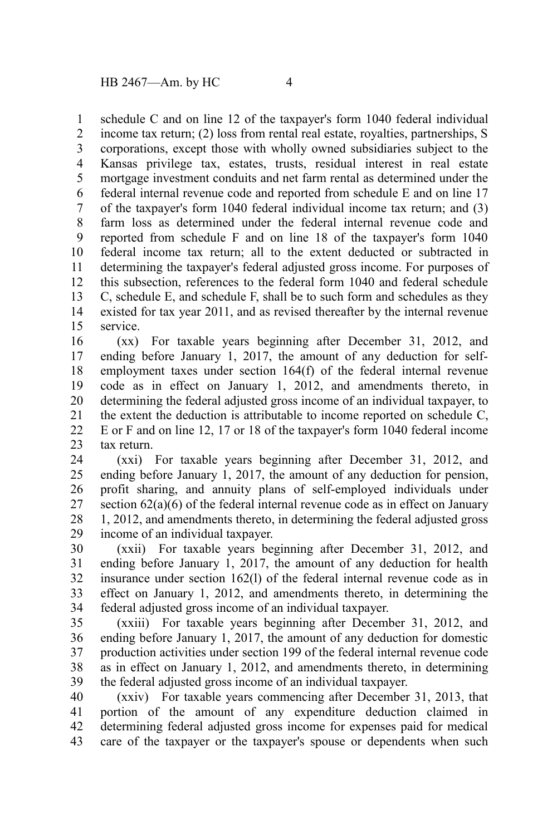schedule C and on line 12 of the taxpayer's form 1040 federal individual 1

income tax return; (2) loss from rental real estate, royalties, partnerships, S corporations, except those with wholly owned subsidiaries subject to the Kansas privilege tax, estates, trusts, residual interest in real estate mortgage investment conduits and net farm rental as determined under the federal internal revenue code and reported from schedule E and on line 17 of the taxpayer's form 1040 federal individual income tax return; and (3) farm loss as determined under the federal internal revenue code and reported from schedule F and on line 18 of the taxpayer's form 1040 federal income tax return; all to the extent deducted or subtracted in determining the taxpayer's federal adjusted gross income. For purposes of this subsection, references to the federal form 1040 and federal schedule C, schedule E, and schedule F, shall be to such form and schedules as they existed for tax year 2011, and as revised thereafter by the internal revenue service. 2 3 4 5 6 7 8 9 10 11 12 13 14 15

(xx) For taxable years beginning after December 31, 2012, and ending before January 1, 2017, the amount of any deduction for selfemployment taxes under section 164(f) of the federal internal revenue code as in effect on January 1, 2012, and amendments thereto, in determining the federal adjusted gross income of an individual taxpayer, to the extent the deduction is attributable to income reported on schedule C, E or F and on line 12, 17 or 18 of the taxpayer's form 1040 federal income tax return. 16 17 18 19 20 21 22 23

(xxi) For taxable years beginning after December 31, 2012, and ending before January 1, 2017, the amount of any deduction for pension, profit sharing, and annuity plans of self-employed individuals under section 62(a)(6) of the federal internal revenue code as in effect on January 1, 2012, and amendments thereto, in determining the federal adjusted gross income of an individual taxpayer. 24 25 26 27 28 29

(xxii) For taxable years beginning after December 31, 2012, and ending before January 1, 2017, the amount of any deduction for health insurance under section 162(l) of the federal internal revenue code as in effect on January 1, 2012, and amendments thereto, in determining the federal adjusted gross income of an individual taxpayer. 30 31 32 33 34

(xxiii) For taxable years beginning after December 31, 2012, and ending before January 1, 2017, the amount of any deduction for domestic production activities under section 199 of the federal internal revenue code as in effect on January 1, 2012, and amendments thereto, in determining the federal adjusted gross income of an individual taxpayer. 35 36 37 38 39

(xxiv) For taxable years commencing after December 31, 2013, that portion of the amount of any expenditure deduction claimed in determining federal adjusted gross income for expenses paid for medical care of the taxpayer or the taxpayer's spouse or dependents when such 40 41 42 43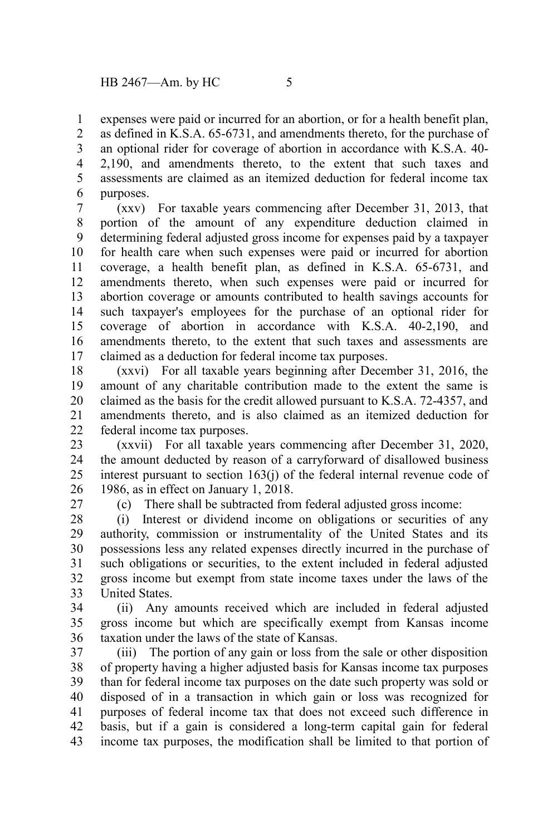expenses were paid or incurred for an abortion, or for a health benefit plan, 1

as defined in K.S.A. 65-6731, and amendments thereto, for the purchase of an optional rider for coverage of abortion in accordance with K.S.A. 40- 2,190, and amendments thereto, to the extent that such taxes and assessments are claimed as an itemized deduction for federal income tax purposes. 2 3 4 5 6

(xxv) For taxable years commencing after December 31, 2013, that portion of the amount of any expenditure deduction claimed in determining federal adjusted gross income for expenses paid by a taxpayer for health care when such expenses were paid or incurred for abortion coverage, a health benefit plan, as defined in K.S.A. 65-6731, and amendments thereto, when such expenses were paid or incurred for abortion coverage or amounts contributed to health savings accounts for such taxpayer's employees for the purchase of an optional rider for coverage of abortion in accordance with K.S.A. 40-2,190, and amendments thereto, to the extent that such taxes and assessments are claimed as a deduction for federal income tax purposes. 7 8 9 10 11 12 13 14 15 16 17

(xxvi) For all taxable years beginning after December 31, 2016, the amount of any charitable contribution made to the extent the same is claimed as the basis for the credit allowed pursuant to K.S.A. 72-4357, and amendments thereto, and is also claimed as an itemized deduction for federal income tax purposes. 18 19 20 21 22

(xxvii) For all taxable years commencing after December 31, 2020, the amount deducted by reason of a carryforward of disallowed business interest pursuant to section 163(j) of the federal internal revenue code of 1986, as in effect on January 1, 2018. 23 24 25 26

27

(c) There shall be subtracted from federal adjusted gross income:

(i) Interest or dividend income on obligations or securities of any authority, commission or instrumentality of the United States and its possessions less any related expenses directly incurred in the purchase of such obligations or securities, to the extent included in federal adjusted gross income but exempt from state income taxes under the laws of the United States. 28 29 30 31 32 33

(ii) Any amounts received which are included in federal adjusted gross income but which are specifically exempt from Kansas income taxation under the laws of the state of Kansas. 34 35 36

(iii) The portion of any gain or loss from the sale or other disposition of property having a higher adjusted basis for Kansas income tax purposes than for federal income tax purposes on the date such property was sold or disposed of in a transaction in which gain or loss was recognized for purposes of federal income tax that does not exceed such difference in basis, but if a gain is considered a long-term capital gain for federal income tax purposes, the modification shall be limited to that portion of 37 38 39 40 41 42 43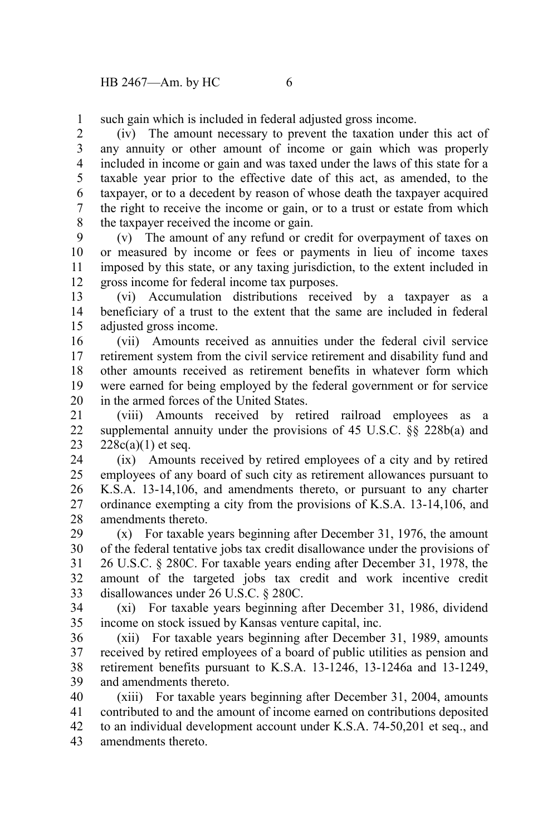such gain which is included in federal adjusted gross income. 1

(iv) The amount necessary to prevent the taxation under this act of any annuity or other amount of income or gain which was properly included in income or gain and was taxed under the laws of this state for a taxable year prior to the effective date of this act, as amended, to the taxpayer, or to a decedent by reason of whose death the taxpayer acquired the right to receive the income or gain, or to a trust or estate from which the taxpayer received the income or gain. 2 3 4 5 6 7 8

(v) The amount of any refund or credit for overpayment of taxes on or measured by income or fees or payments in lieu of income taxes imposed by this state, or any taxing jurisdiction, to the extent included in gross income for federal income tax purposes. 9 10 11 12

(vi) Accumulation distributions received by a taxpayer as a beneficiary of a trust to the extent that the same are included in federal adjusted gross income. 13 14 15

(vii) Amounts received as annuities under the federal civil service retirement system from the civil service retirement and disability fund and other amounts received as retirement benefits in whatever form which were earned for being employed by the federal government or for service in the armed forces of the United States. 16 17 18 19 20

(viii) Amounts received by retired railroad employees as a supplemental annuity under the provisions of 45 U.S.C. §§ 228b(a) and  $228c(a)(1)$  et seq. 21 22 23

(ix) Amounts received by retired employees of a city and by retired employees of any board of such city as retirement allowances pursuant to K.S.A. 13-14,106, and amendments thereto, or pursuant to any charter ordinance exempting a city from the provisions of K.S.A. 13-14,106, and amendments thereto. 24 25 26 27 28

(x) For taxable years beginning after December 31, 1976, the amount of the federal tentative jobs tax credit disallowance under the provisions of 26 U.S.C. § 280C. For taxable years ending after December 31, 1978, the amount of the targeted jobs tax credit and work incentive credit disallowances under 26 U.S.C. § 280C. 29 30 31 32 33

(xi) For taxable years beginning after December 31, 1986, dividend income on stock issued by Kansas venture capital, inc. 34 35

(xii) For taxable years beginning after December 31, 1989, amounts received by retired employees of a board of public utilities as pension and retirement benefits pursuant to K.S.A. 13-1246, 13-1246a and 13-1249, and amendments thereto. 36 37 38 39

(xiii) For taxable years beginning after December 31, 2004, amounts contributed to and the amount of income earned on contributions deposited to an individual development account under K.S.A. 74-50,201 et seq., and amendments thereto. 40 41 42 43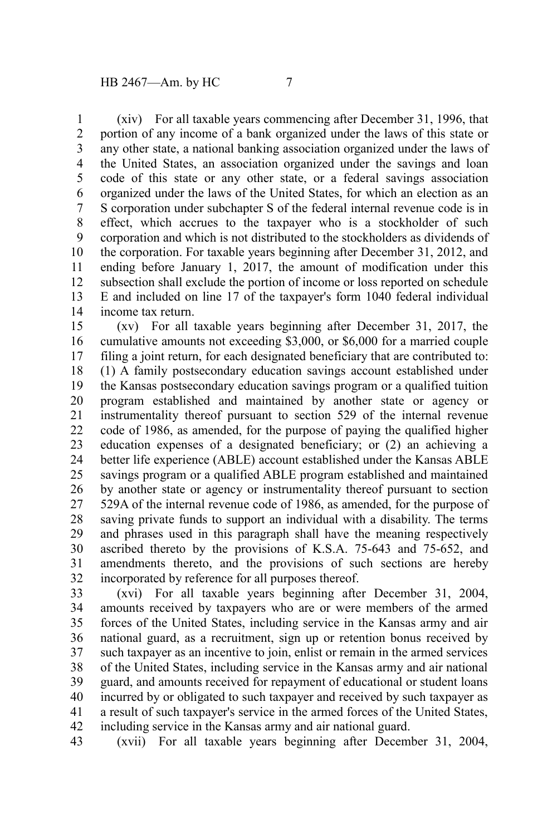(xiv) For all taxable years commencing after December 31, 1996, that portion of any income of a bank organized under the laws of this state or any other state, a national banking association organized under the laws of the United States, an association organized under the savings and loan code of this state or any other state, or a federal savings association organized under the laws of the United States, for which an election as an S corporation under subchapter S of the federal internal revenue code is in effect, which accrues to the taxpayer who is a stockholder of such corporation and which is not distributed to the stockholders as dividends of the corporation. For taxable years beginning after December 31, 2012, and ending before January 1, 2017, the amount of modification under this subsection shall exclude the portion of income or loss reported on schedule E and included on line 17 of the taxpayer's form 1040 federal individual income tax return. 1 2 3 4 5 6 7 8 9 10 11 12 13 14

(xv) For all taxable years beginning after December 31, 2017, the cumulative amounts not exceeding \$3,000, or \$6,000 for a married couple filing a joint return, for each designated beneficiary that are contributed to: (1) A family postsecondary education savings account established under the Kansas postsecondary education savings program or a qualified tuition program established and maintained by another state or agency or instrumentality thereof pursuant to section 529 of the internal revenue code of 1986, as amended, for the purpose of paying the qualified higher education expenses of a designated beneficiary; or (2) an achieving a better life experience (ABLE) account established under the Kansas ABLE savings program or a qualified ABLE program established and maintained by another state or agency or instrumentality thereof pursuant to section 529A of the internal revenue code of 1986, as amended, for the purpose of saving private funds to support an individual with a disability. The terms and phrases used in this paragraph shall have the meaning respectively ascribed thereto by the provisions of K.S.A. 75-643 and 75-652, and amendments thereto, and the provisions of such sections are hereby incorporated by reference for all purposes thereof. 15 16 17 18 19 20 21 22 23 24 25 26 27 28 29 30 31 32

(xvi) For all taxable years beginning after December 31, 2004, amounts received by taxpayers who are or were members of the armed forces of the United States, including service in the Kansas army and air national guard, as a recruitment, sign up or retention bonus received by such taxpayer as an incentive to join, enlist or remain in the armed services of the United States, including service in the Kansas army and air national guard, and amounts received for repayment of educational or student loans incurred by or obligated to such taxpayer and received by such taxpayer as a result of such taxpayer's service in the armed forces of the United States, including service in the Kansas army and air national guard. 33 34 35 36 37 38 39 40 41 42

(xvii) For all taxable years beginning after December 31, 2004, 43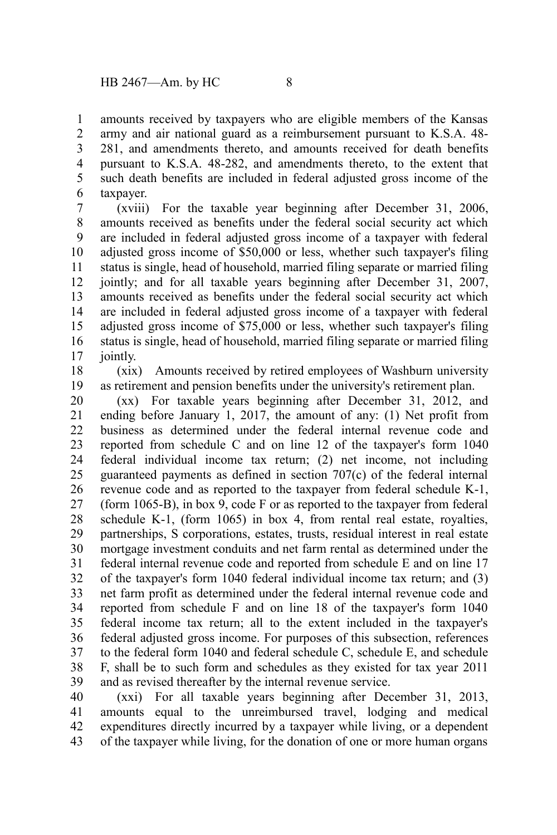amounts received by taxpayers who are eligible members of the Kansas army and air national guard as a reimbursement pursuant to K.S.A. 48- 281, and amendments thereto, and amounts received for death benefits pursuant to K.S.A. 48-282, and amendments thereto, to the extent that such death benefits are included in federal adjusted gross income of the taxpayer. 1 2 3 4 5 6

(xviii) For the taxable year beginning after December 31, 2006, amounts received as benefits under the federal social security act which are included in federal adjusted gross income of a taxpayer with federal adjusted gross income of \$50,000 or less, whether such taxpayer's filing status is single, head of household, married filing separate or married filing jointly; and for all taxable years beginning after December 31, 2007, amounts received as benefits under the federal social security act which are included in federal adjusted gross income of a taxpayer with federal adjusted gross income of \$75,000 or less, whether such taxpayer's filing status is single, head of household, married filing separate or married filing jointly. 7 8 9 10 11 12 13 14 15 16 17

(xix) Amounts received by retired employees of Washburn university as retirement and pension benefits under the university's retirement plan. 18 19

(xx) For taxable years beginning after December 31, 2012, and ending before January 1, 2017, the amount of any: (1) Net profit from business as determined under the federal internal revenue code and reported from schedule C and on line 12 of the taxpayer's form 1040 federal individual income tax return; (2) net income, not including guaranteed payments as defined in section 707(c) of the federal internal revenue code and as reported to the taxpayer from federal schedule K-1, (form 1065-B), in box 9, code F or as reported to the taxpayer from federal schedule K-1, (form 1065) in box 4, from rental real estate, royalties, partnerships, S corporations, estates, trusts, residual interest in real estate mortgage investment conduits and net farm rental as determined under the federal internal revenue code and reported from schedule E and on line 17 of the taxpayer's form 1040 federal individual income tax return; and (3) net farm profit as determined under the federal internal revenue code and reported from schedule F and on line 18 of the taxpayer's form 1040 federal income tax return; all to the extent included in the taxpayer's federal adjusted gross income. For purposes of this subsection, references to the federal form 1040 and federal schedule C, schedule E, and schedule F, shall be to such form and schedules as they existed for tax year 2011 and as revised thereafter by the internal revenue service. 20 21 22 23 24 25 26 27 28 29 30 31 32 33 34 35 36 37 38 39

(xxi) For all taxable years beginning after December 31, 2013, amounts equal to the unreimbursed travel, lodging and medical expenditures directly incurred by a taxpayer while living, or a dependent of the taxpayer while living, for the donation of one or more human organs 40 41 42 43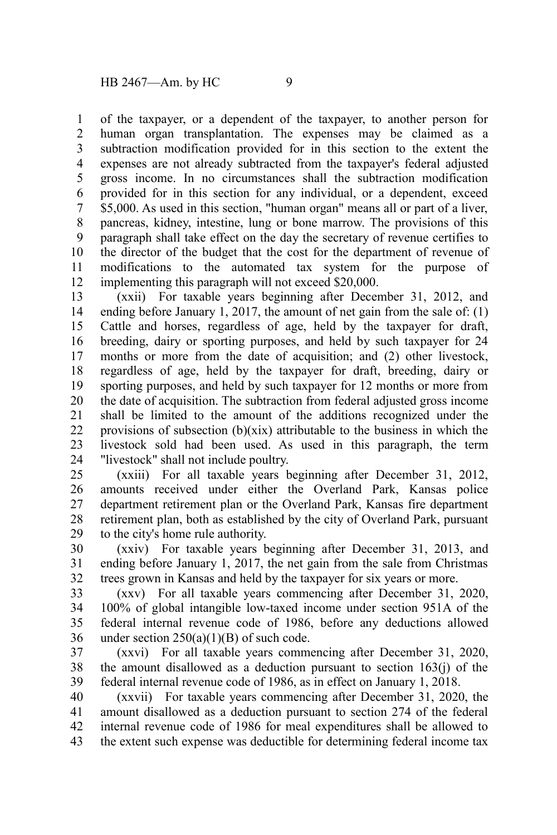of the taxpayer, or a dependent of the taxpayer, to another person for human organ transplantation. The expenses may be claimed as a subtraction modification provided for in this section to the extent the expenses are not already subtracted from the taxpayer's federal adjusted gross income. In no circumstances shall the subtraction modification provided for in this section for any individual, or a dependent, exceed \$5,000. As used in this section, "human organ" means all or part of a liver, pancreas, kidney, intestine, lung or bone marrow. The provisions of this paragraph shall take effect on the day the secretary of revenue certifies to the director of the budget that the cost for the department of revenue of modifications to the automated tax system for the purpose of implementing this paragraph will not exceed \$20,000. 1 2 3 4 5 6 7 8 9 10 11 12

(xxii) For taxable years beginning after December 31, 2012, and ending before January 1, 2017, the amount of net gain from the sale of: (1) Cattle and horses, regardless of age, held by the taxpayer for draft, breeding, dairy or sporting purposes, and held by such taxpayer for 24 months or more from the date of acquisition; and (2) other livestock, regardless of age, held by the taxpayer for draft, breeding, dairy or sporting purposes, and held by such taxpayer for 12 months or more from the date of acquisition. The subtraction from federal adjusted gross income shall be limited to the amount of the additions recognized under the provisions of subsection  $(b)(xix)$  attributable to the business in which the livestock sold had been used. As used in this paragraph, the term "livestock" shall not include poultry. 13 14 15 16 17 18 19 20 21 22 23 24

(xxiii) For all taxable years beginning after December 31, 2012, amounts received under either the Overland Park, Kansas police department retirement plan or the Overland Park, Kansas fire department retirement plan, both as established by the city of Overland Park, pursuant to the city's home rule authority. 25 26 27 28 29

(xxiv) For taxable years beginning after December 31, 2013, and ending before January 1, 2017, the net gain from the sale from Christmas trees grown in Kansas and held by the taxpayer for six years or more. 30 31 32

(xxv) For all taxable years commencing after December 31, 2020, 100% of global intangible low-taxed income under section 951A of the federal internal revenue code of 1986, before any deductions allowed under section  $250(a)(1)(B)$  of such code. 33 34 35 36

(xxvi) For all taxable years commencing after December 31, 2020, the amount disallowed as a deduction pursuant to section 163(j) of the federal internal revenue code of 1986, as in effect on January 1, 2018. 37 38 39

(xxvii) For taxable years commencing after December 31, 2020, the amount disallowed as a deduction pursuant to section 274 of the federal internal revenue code of 1986 for meal expenditures shall be allowed to the extent such expense was deductible for determining federal income tax 40 41 42 43